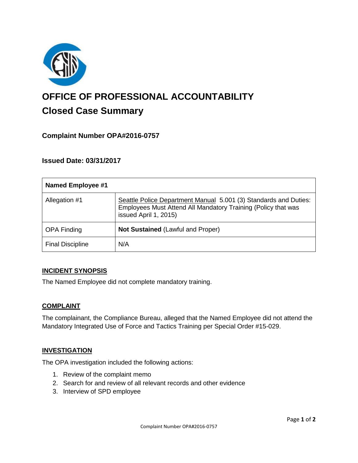

# **OFFICE OF PROFESSIONAL ACCOUNTABILITY Closed Case Summary**

## **Complaint Number OPA#2016-0757**

## **Issued Date: 03/31/2017**

| <b>Named Employee #1</b> |                                                                                                                                                            |
|--------------------------|------------------------------------------------------------------------------------------------------------------------------------------------------------|
| Allegation #1            | Seattle Police Department Manual 5.001 (3) Standards and Duties:<br>Employees Must Attend All Mandatory Training (Policy that was<br>issued April 1, 2015) |
| <b>OPA Finding</b>       | <b>Not Sustained (Lawful and Proper)</b>                                                                                                                   |
| <b>Final Discipline</b>  | N/A                                                                                                                                                        |

#### **INCIDENT SYNOPSIS**

The Named Employee did not complete mandatory training.

#### **COMPLAINT**

The complainant, the Compliance Bureau, alleged that the Named Employee did not attend the Mandatory Integrated Use of Force and Tactics Training per Special Order #15-029.

#### **INVESTIGATION**

The OPA investigation included the following actions:

- 1. Review of the complaint memo
- 2. Search for and review of all relevant records and other evidence
- 3. Interview of SPD employee